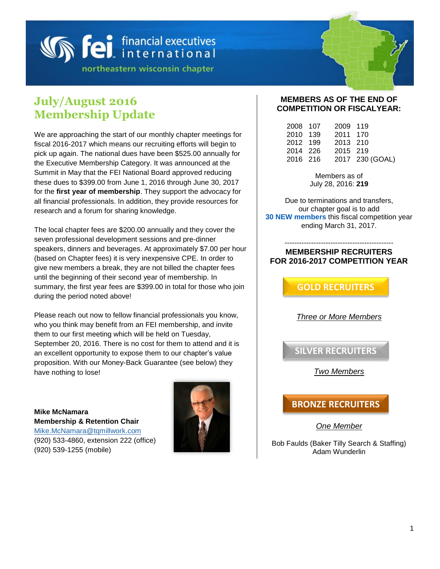# **Sei** financial executives

northeastern wisconsin chapter

## **July/August 2016 Membership Update**

We are approaching the start of our monthly chapter meetings for fiscal 2016-2017 which means our recruiting efforts will begin to pick up again. The national dues have been \$525.00 annually for the Executive Membership Category. It was announced at the Summit in May that the FEI National Board approved reducing these dues to \$399.00 from June 1, 2016 through June 30, 2017 for the **first year of membership**. They support the advocacy for all financial professionals. In addition, they provide resources for research and a forum for sharing knowledge.

The local chapter fees are \$200.00 annually and they cover the seven professional development sessions and pre-dinner speakers, dinners and beverages. At approximately \$7.00 per hour (based on Chapter fees) it is very inexpensive CPE. In order to give new members a break, they are not billed the chapter fees until the beginning of their second year of membership. In summary, the first year fees are \$399.00 in total for those who join during the period noted above!

Please reach out now to fellow financial professionals you know, who you think may benefit from an FEI membership, and invite them to our first meeting which will be held on Tuesday, September 20, 2016. There is no cost for them to attend and it is an excellent opportunity to expose them to our chapter's value proposition. With our Money-Back Guarantee (see below) they have nothing to lose!

**Mike McNamara Membership & Retention Chair** [Mike.McNamara@tqmillwork.com](mailto:Mike.McNamara@tqmillwork.com) (920) 533-4860, extension 222 (office) (920) 539-1255 (mobile)



#### **MEMBERS AS OF THE END OF COMPETITION OR FISCALYEAR:**

| 2008 107 | 2009 119 |                 |
|----------|----------|-----------------|
| 2010 139 | 2011 170 |                 |
| 2012 199 | 2013 210 |                 |
| 2014 226 | 2015 219 |                 |
| 2016 216 |          | 2017 230 (GOAL) |
|          |          |                 |

Members as of July 28, 2016: **219**

Due to terminations and transfers, our chapter goal is to add **30 NEW members** this fiscal competition year ending March 31, 2017.

#### --------------------------------------------- **MEMBERSHIP RECRUITERS FOR 2016-2017 COMPETITION YEAR**

**GOLD RECRUITERS**

*Three or More Members*

**SILVER RECRUITERS**

*Two Members*

### **BRONZE RECRUITERS**

*One Member*

Bob Faulds (Baker Tilly Search & Staffing) Adam Wunderlin